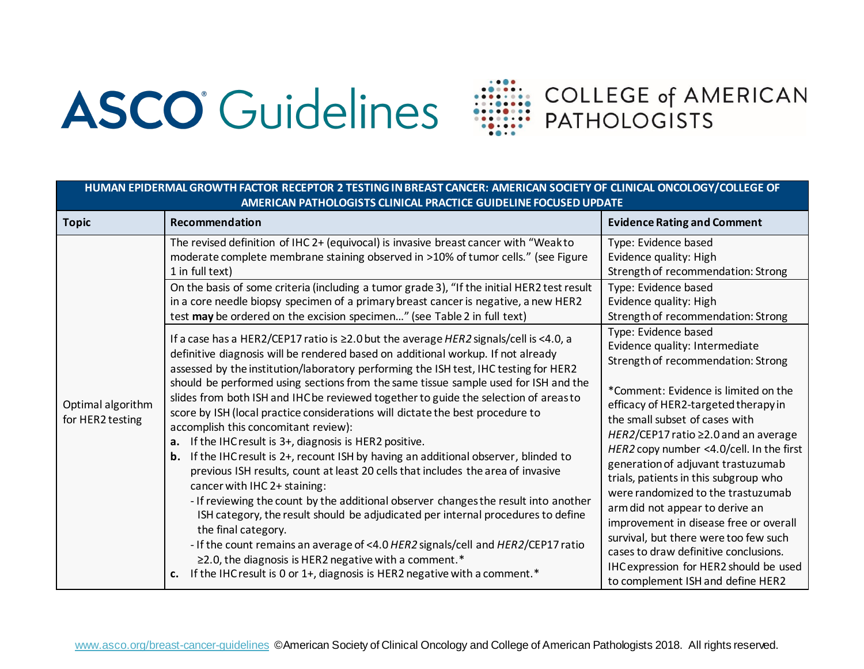## **ASCO** Guidelines



| HUMAN EPIDERMAL GROWTH FACTOR RECEPTOR 2 TESTING IN BREAST CANCER: AMERICAN SOCIETY OF CLINICAL ONCOLOGY/COLLEGE OF<br>AMERICAN PATHOLOGISTS CLINICAL PRACTICE GUIDELINE FOCUSED UPDATE |                                                                                                                                                                                                                                                                                                                                                                                                                                                                                                                                                                                                                                                                                                                                                                                                                                                                                                                                                                                                                                                                                                                                                                                                                                                                                                 |                                                                                                                                                                                                                                                                                                                                                                                                                                                                                                                                                                                                                                                                       |  |  |
|-----------------------------------------------------------------------------------------------------------------------------------------------------------------------------------------|-------------------------------------------------------------------------------------------------------------------------------------------------------------------------------------------------------------------------------------------------------------------------------------------------------------------------------------------------------------------------------------------------------------------------------------------------------------------------------------------------------------------------------------------------------------------------------------------------------------------------------------------------------------------------------------------------------------------------------------------------------------------------------------------------------------------------------------------------------------------------------------------------------------------------------------------------------------------------------------------------------------------------------------------------------------------------------------------------------------------------------------------------------------------------------------------------------------------------------------------------------------------------------------------------|-----------------------------------------------------------------------------------------------------------------------------------------------------------------------------------------------------------------------------------------------------------------------------------------------------------------------------------------------------------------------------------------------------------------------------------------------------------------------------------------------------------------------------------------------------------------------------------------------------------------------------------------------------------------------|--|--|
| <b>Topic</b>                                                                                                                                                                            | Recommendation                                                                                                                                                                                                                                                                                                                                                                                                                                                                                                                                                                                                                                                                                                                                                                                                                                                                                                                                                                                                                                                                                                                                                                                                                                                                                  | <b>Evidence Rating and Comment</b>                                                                                                                                                                                                                                                                                                                                                                                                                                                                                                                                                                                                                                    |  |  |
|                                                                                                                                                                                         | The revised definition of IHC 2+ (equivocal) is invasive breast cancer with "Weakto<br>moderate complete membrane staining observed in >10% of tumor cells." (see Figure<br>1 in full text)<br>On the basis of some criteria (including a tumor grade 3), "If the initial HER2 test result<br>in a core needle biopsy specimen of a primary breast cancer is negative, a new HER2<br>test may be ordered on the excision specimen" (see Table 2 in full text)                                                                                                                                                                                                                                                                                                                                                                                                                                                                                                                                                                                                                                                                                                                                                                                                                                   | Type: Evidence based<br>Evidence quality: High<br>Strength of recommendation: Strong<br>Type: Evidence based<br>Evidence quality: High<br>Strength of recommendation: Strong                                                                                                                                                                                                                                                                                                                                                                                                                                                                                          |  |  |
| Optimal algorithm<br>for HER2 testing                                                                                                                                                   | If a case has a HER2/CEP17 ratio is ≥2.0 but the average HER2 signals/cell is <4.0, a<br>definitive diagnosis will be rendered based on additional workup. If not already<br>assessed by the institution/laboratory performing the ISH test, IHC testing for HER2<br>should be performed using sections from the same tissue sample used for ISH and the<br>slides from both ISH and IHC be reviewed together to guide the selection of areas to<br>score by ISH (local practice considerations will dictate the best procedure to<br>accomplish this concomitant review):<br>If the IHC result is 3+, diagnosis is HER2 positive.<br>a.<br>If the IHC result is 2+, recount ISH by having an additional observer, blinded to<br>b.<br>previous ISH results, count at least 20 cells that includes the area of invasive<br>cancer with IHC 2+ staining:<br>- If reviewing the count by the additional observer changes the result into another<br>ISH category, the result should be adjudicated per internal procedures to define<br>the final category.<br>- If the count remains an average of <4.0 HER2 signals/cell and HER2/CEP17 ratio<br>$\geq$ 2.0, the diagnosis is HER2 negative with a comment.*<br>If the IHC result is 0 or 1+, diagnosis is HER2 negative with a comment.*<br>c. | Type: Evidence based<br>Evidence quality: Intermediate<br>Strength of recommendation: Strong<br>*Comment: Evidence is limited on the<br>efficacy of HER2-targeted therapy in<br>the small subset of cases with<br>HER2/CEP17 ratio ≥2.0 and an average<br>HER2 copy number <4.0/cell. In the first<br>generation of adjuvant trastuzumab<br>trials, patients in this subgroup who<br>were randomized to the trastuzumab<br>arm did not appear to derive an<br>improvement in disease free or overall<br>survival, but there were too few such<br>cases to draw definitive conclusions.<br>IHC expression for HER2 should be used<br>to complement ISH and define HER2 |  |  |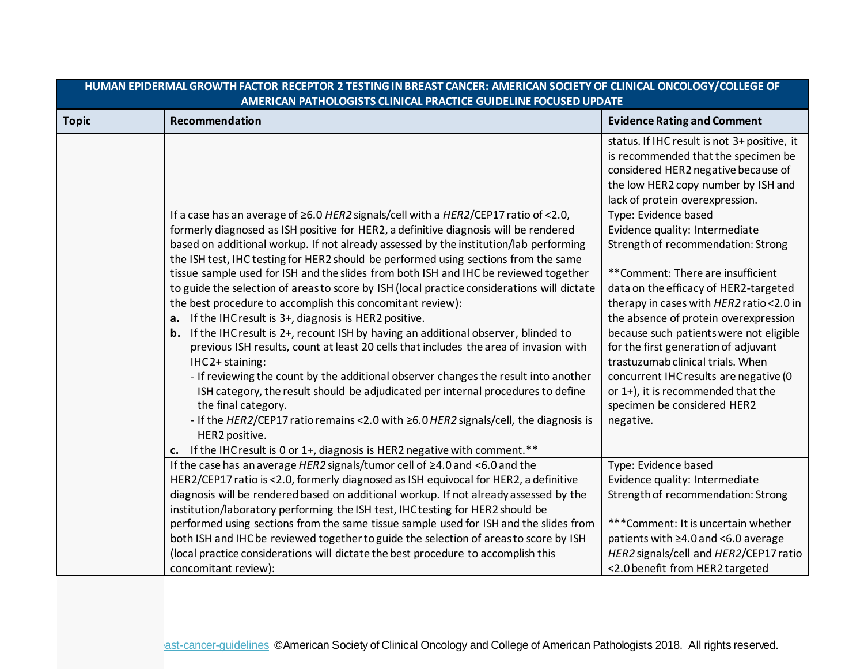| <u>HUIVIAIVEPIDENIVIALUNUVI IHTAUTUN NEUEPTUN Z TESTIIVU IIVONEASTUAIVUEN. AIVIENIUAIVOULETTUP ULIIVIUALUIVUUUUT/UULLUUEUE UP</u><br>AMERICAN PATHOLOGISTS CLINICAL PRACTICE GUIDELINE FOCUSED UPDATE |                                                                                                                                                                                                                                                                                                                                                                                                                                                                                                                                                                                                                                                                                                                                                                                                                                                                                                                                                                                                                                                                                                                                                                                                          |                                                                                                                                                                                                                                                                                                                                                                                                                                                                                                                      |
|-------------------------------------------------------------------------------------------------------------------------------------------------------------------------------------------------------|----------------------------------------------------------------------------------------------------------------------------------------------------------------------------------------------------------------------------------------------------------------------------------------------------------------------------------------------------------------------------------------------------------------------------------------------------------------------------------------------------------------------------------------------------------------------------------------------------------------------------------------------------------------------------------------------------------------------------------------------------------------------------------------------------------------------------------------------------------------------------------------------------------------------------------------------------------------------------------------------------------------------------------------------------------------------------------------------------------------------------------------------------------------------------------------------------------|----------------------------------------------------------------------------------------------------------------------------------------------------------------------------------------------------------------------------------------------------------------------------------------------------------------------------------------------------------------------------------------------------------------------------------------------------------------------------------------------------------------------|
| <b>Topic</b>                                                                                                                                                                                          | Recommendation                                                                                                                                                                                                                                                                                                                                                                                                                                                                                                                                                                                                                                                                                                                                                                                                                                                                                                                                                                                                                                                                                                                                                                                           | <b>Evidence Rating and Comment</b>                                                                                                                                                                                                                                                                                                                                                                                                                                                                                   |
|                                                                                                                                                                                                       |                                                                                                                                                                                                                                                                                                                                                                                                                                                                                                                                                                                                                                                                                                                                                                                                                                                                                                                                                                                                                                                                                                                                                                                                          | status. If IHC result is not 3+ positive, it<br>is recommended that the specimen be<br>considered HER2 negative because of<br>the low HER2 copy number by ISH and<br>lack of protein overexpression.                                                                                                                                                                                                                                                                                                                 |
|                                                                                                                                                                                                       | If a case has an average of $\geq$ 6.0 HER2 signals/cell with a HER2/CEP17 ratio of <2.0,<br>formerly diagnosed as ISH positive for HER2, a definitive diagnosis will be rendered<br>based on additional workup. If not already assessed by the institution/lab performing<br>the ISH test, IHC testing for HER2 should be performed using sections from the same<br>tissue sample used for ISH and the slides from both ISH and IHC be reviewed together<br>to guide the selection of areas to score by ISH (local practice considerations will dictate<br>the best procedure to accomplish this concomitant review):<br>a. If the IHC result is 3+, diagnosis is HER2 positive.<br><b>b.</b> If the IHC result is 2+, recount ISH by having an additional observer, blinded to<br>previous ISH results, count at least 20 cells that includes the area of invasion with<br>IHC2+ staining:<br>- If reviewing the count by the additional observer changes the result into another<br>ISH category, the result should be adjudicated per internal procedures to define<br>the final category.<br>- If the HER2/CEP17 ratio remains <2.0 with ≥6.0 HER2 signals/cell, the diagnosis is<br>HER2 positive. | Type: Evidence based<br>Evidence quality: Intermediate<br>Strength of recommendation: Strong<br>**Comment: There are insufficient<br>data on the efficacy of HER2-targeted<br>therapy in cases with HER2 ratio < 2.0 in<br>the absence of protein overexpression<br>because such patients were not eligible<br>for the first generation of adjuvant<br>trastuzumab clinical trials. When<br>concurrent IHC results are negative (0<br>or 1+), it is recommended that the<br>specimen be considered HER2<br>negative. |
|                                                                                                                                                                                                       | c. If the IHC result is 0 or 1+, diagnosis is HER2 negative with comment.**<br>If the case has an average HER2 signals/tumor cell of ≥4.0 and <6.0 and the<br>HER2/CEP17 ratio is <2.0, formerly diagnosed as ISH equivocal for HER2, a definitive<br>diagnosis will be rendered based on additional workup. If not already assessed by the<br>institution/laboratory performing the ISH test, IHC testing for HER2 should be<br>performed using sections from the same tissue sample used for ISH and the slides from<br>both ISH and IHC be reviewed together to guide the selection of areas to score by ISH<br>(local practice considerations will dictate the best procedure to accomplish this<br>concomitant review):                                                                                                                                                                                                                                                                                                                                                                                                                                                                             | Type: Evidence based<br>Evidence quality: Intermediate<br>Strength of recommendation: Strong<br>*** Comment: It is uncertain whether<br>patients with ≥4.0 and <6.0 average<br>HER2 signals/cell and HER2/CEP17 ratio<br><2.0 benefit from HER2 targeted                                                                                                                                                                                                                                                             |

**HUMAN EPIDERMAL GROWTH FACTOR RECEPTOR 2 TESTING IN BREAST CANCER: AMERICAN SOCIETY OF CLINICAL ONCOLOGY/COLLEGE OF**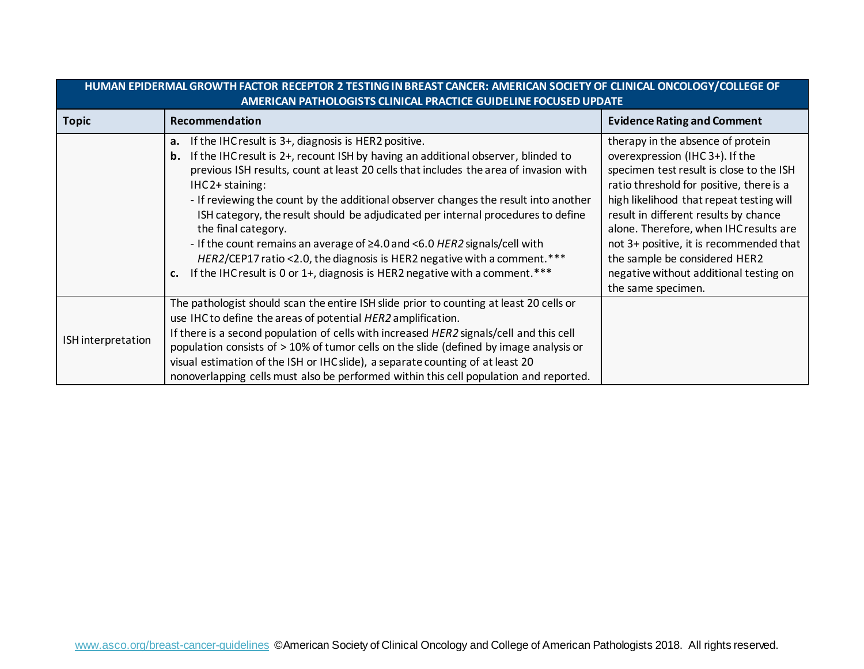| <u>HUIVIAIN EFIDENIVIAL UNUVI IH FACI UN NECEFTUN Z TESTIINU IN DNEAST CANCEN. AIVIENICAN SUCIETT UF CLINICAL UNCULUUT/CULLEUE UF</u><br>AMERICAN PATHOLOGISTS CLINICAL PRACTICE GUIDELINE FOCUSED UPDATE |                                                                                                                                                                                                                                                                                                                                                                                                                                                                                                                                                                                                                                                                                                                        |                                                                                                                                                                                                                                                                                                                                                                                                                                        |  |
|-----------------------------------------------------------------------------------------------------------------------------------------------------------------------------------------------------------|------------------------------------------------------------------------------------------------------------------------------------------------------------------------------------------------------------------------------------------------------------------------------------------------------------------------------------------------------------------------------------------------------------------------------------------------------------------------------------------------------------------------------------------------------------------------------------------------------------------------------------------------------------------------------------------------------------------------|----------------------------------------------------------------------------------------------------------------------------------------------------------------------------------------------------------------------------------------------------------------------------------------------------------------------------------------------------------------------------------------------------------------------------------------|--|
| <b>Topic</b>                                                                                                                                                                                              | Recommendation                                                                                                                                                                                                                                                                                                                                                                                                                                                                                                                                                                                                                                                                                                         | <b>Evidence Rating and Comment</b>                                                                                                                                                                                                                                                                                                                                                                                                     |  |
|                                                                                                                                                                                                           | If the IHC result is 3+, diagnosis is HER2 positive.<br>а.<br><b>b.</b> If the IHC result is 2+, recount ISH by having an additional observer, blinded to<br>previous ISH results, count at least 20 cells that includes the area of invasion with<br>IHC2+ staining:<br>- If reviewing the count by the additional observer changes the result into another<br>ISH category, the result should be adjudicated per internal procedures to define<br>the final category.<br>- If the count remains an average of ≥4.0 and <6.0 HER2 signals/cell with<br>HER2/CEP17 ratio <2.0, the diagnosis is HER2 negative with a comment.***<br>If the IHC result is 0 or 1+, diagnosis is HER2 negative with a comment. ***<br>C. | therapy in the absence of protein<br>overexpression (IHC 3+). If the<br>specimen test result is close to the ISH<br>ratio threshold for positive, there is a<br>high likelihood that repeat testing will<br>result in different results by chance<br>alone. Therefore, when IHCresults are<br>not 3+ positive, it is recommended that<br>the sample be considered HER2<br>negative without additional testing on<br>the same specimen. |  |
| ISH interpretation                                                                                                                                                                                        | The pathologist should scan the entire ISH slide prior to counting at least 20 cells or<br>use IHC to define the areas of potential HER2 amplification.<br>If there is a second population of cells with increased HER2 signals/cell and this cell<br>population consists of > 10% of tumor cells on the slide (defined by image analysis or<br>visual estimation of the ISH or IHC slide), a separate counting of at least 20<br>nonoverlapping cells must also be performed within this cell population and reported.                                                                                                                                                                                                |                                                                                                                                                                                                                                                                                                                                                                                                                                        |  |

## **HUMAN EPIDERMAL GROWTH FACTOR RECEPTOR 2 TESTING IN BREAST CANCER: AMERICAN SOCIETY OF CLINICAL ONCOLOGY/COLLEGE OF**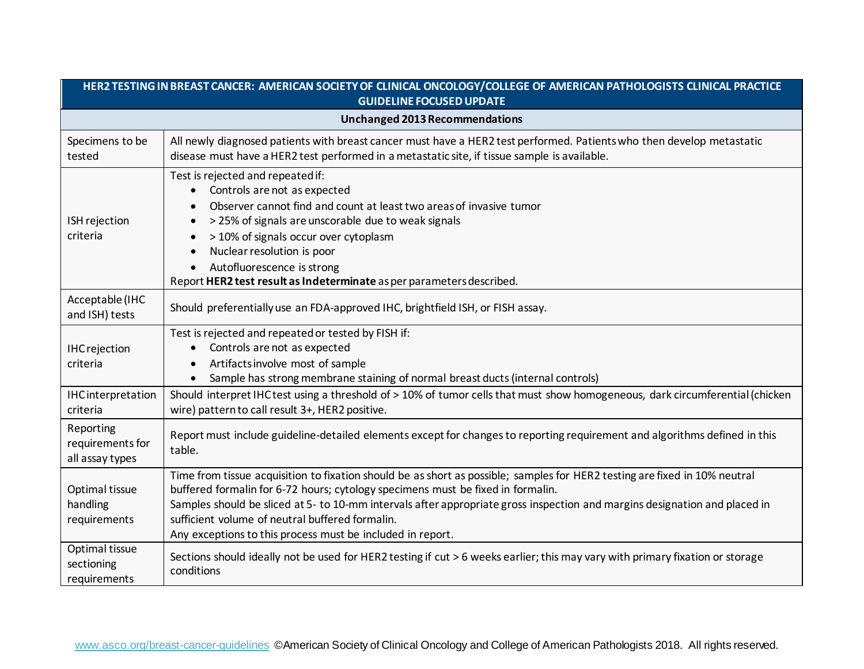| HER2 TESTING IN BREAST CANCER: AMERICAN SOCIETY OF CLINICAL ONCOLOGY/COLLEGE OF AMERICAN PATHOLOGISTS CLINICAL PRACTICE<br><b>GUIDELINE FOCUSED UPDATE</b> |                                                                                                                                                                                                                                                                                                                                                                                                                                                              |  |
|------------------------------------------------------------------------------------------------------------------------------------------------------------|--------------------------------------------------------------------------------------------------------------------------------------------------------------------------------------------------------------------------------------------------------------------------------------------------------------------------------------------------------------------------------------------------------------------------------------------------------------|--|
| <b>Unchanged 2013 Recommendations</b>                                                                                                                      |                                                                                                                                                                                                                                                                                                                                                                                                                                                              |  |
| Specimens to be<br>tested                                                                                                                                  | All newly diagnosed patients with breast cancer must have a HER2 test performed. Patients who then develop metastatic<br>disease must have a HER2 test performed in a metastatic site, if tissue sample is available.                                                                                                                                                                                                                                        |  |
| ISH rejection<br>criteria                                                                                                                                  | Test is rejected and repeated if:<br>Controls are not as expected<br>Observer cannot find and count at least two areas of invasive tumor<br>$\bullet$<br>> 25% of signals are unscorable due to weak signals<br>> 10% of signals occur over cytoplasm<br>Nuclear resolution is poor<br>Autofluorescence is strong<br>Report HER2 test result as Indeterminate as per parameters described.                                                                   |  |
| Acceptable (IHC<br>and ISH) tests                                                                                                                          | Should preferentially use an FDA-approved IHC, brightfield ISH, or FISH assay.                                                                                                                                                                                                                                                                                                                                                                               |  |
| <b>IHCrejection</b><br>criteria                                                                                                                            | Test is rejected and repeated or tested by FISH if:<br>Controls are not as expected<br>Artifacts involve most of sample<br>Sample has strong membrane staining of normal breast ducts (internal controls)                                                                                                                                                                                                                                                    |  |
| IHCinterpretation<br>criteria                                                                                                                              | Should interpret IHC test using a threshold of > 10% of tumor cells that must show homogeneous, dark circumferential (chicken<br>wire) pattern to call result 3+, HER2 positive.                                                                                                                                                                                                                                                                             |  |
| Reporting<br>requirements for<br>all assay types                                                                                                           | Report must include guideline-detailed elements except for changes to reporting requirement and algorithms defined in this<br>table.                                                                                                                                                                                                                                                                                                                         |  |
| Optimal tissue<br>handling<br>requirements                                                                                                                 | Time from tissue acquisition to fixation should be as short as possible; samples for HER2 testing are fixed in 10% neutral<br>buffered formalin for 6-72 hours; cytology specimens must be fixed in formalin.<br>Samples should be sliced at 5- to 10-mm intervals after appropriate gross inspection and margins designation and placed in<br>sufficient volume of neutral buffered formalin.<br>Any exceptions to this process must be included in report. |  |
| Optimal tissue<br>sectioning<br>requirements                                                                                                               | Sections should ideally not be used for HER2 testing if cut > 6 weeks earlier; this may vary with primary fixation or storage<br>conditions                                                                                                                                                                                                                                                                                                                  |  |